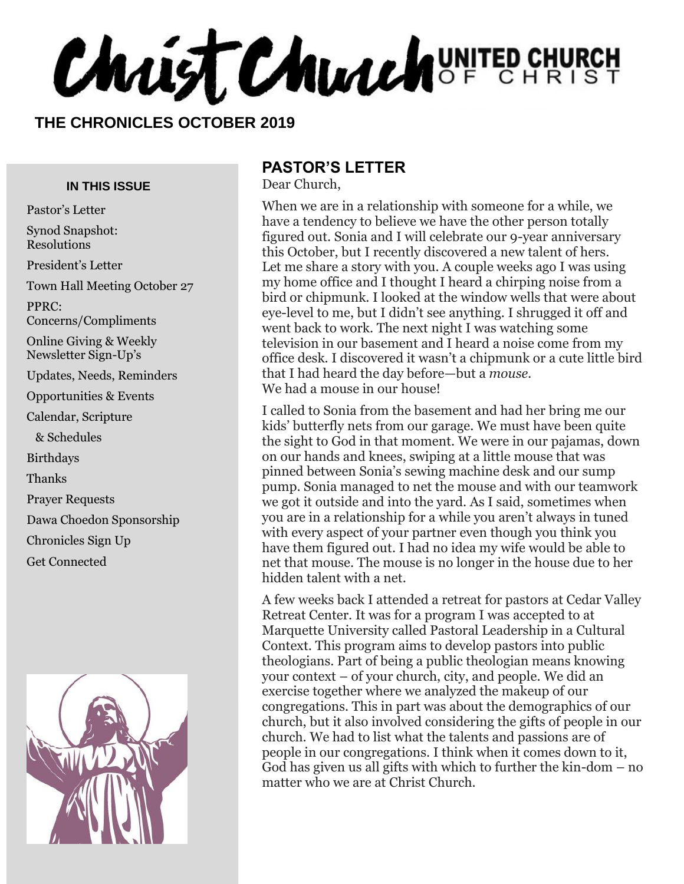Christ Church UNITED CHURCH

#### **THE CHRONICLES OCTOBER 2019**

#### **IN THIS ISSUE**

Pastor's Letter Synod Snapshot: Resolutions President's Letter Town Hall Meeting October 27 PPRC: Concerns/Compliments Online Giving & Weekly Newsletter Sign-Up's Updates, Needs, Reminders Opportunities & Events Calendar, Scripture & Schedules Birthdays Thanks Prayer Requests Dawa Choedon Sponsorship Chronicles Sign Up Get Connected



#### **PASTOR'S LETTER**

Dear Church,

When we are in a relationship with someone for a while, we have a tendency to believe we have the other person totally figured out. Sonia and I will celebrate our 9-year anniversary this October, but I recently discovered a new talent of hers. Let me share a story with you. A couple weeks ago I was using my home office and I thought I heard a chirping noise from a bird or chipmunk. I looked at the window wells that were about eye-level to me, but I didn't see anything. I shrugged it off and went back to work. The next night I was watching some television in our basement and I heard a noise come from my office desk. I discovered it wasn't a chipmunk or a cute little bird that I had heard the day before—but a *mouse.*  We had a mouse in our house!

I called to Sonia from the basement and had her bring me our kids' butterfly nets from our garage. We must have been quite the sight to God in that moment. We were in our pajamas, down on our hands and knees, swiping at a little mouse that was pinned between Sonia's sewing machine desk and our sump pump. Sonia managed to net the mouse and with our teamwork we got it outside and into the yard. As I said, sometimes when you are in a relationship for a while you aren't always in tuned with every aspect of your partner even though you think you have them figured out. I had no idea my wife would be able to net that mouse. The mouse is no longer in the house due to her hidden talent with a net.

A few weeks back I attended a retreat for pastors at Cedar Valley Retreat Center. It was for a program I was accepted to at Marquette University called Pastoral Leadership in a Cultural Context. This program aims to develop pastors into public theologians. Part of being a public theologian means knowing your context – of your church, city, and people. We did an exercise together where we analyzed the makeup of our congregations. This in part was about the demographics of our church, but it also involved considering the gifts of people in our church. We had to list what the talents and passions are of people in our congregations. I think when it comes down to it, God has given us all gifts with which to further the kin-dom – no matter who we are at Christ Church.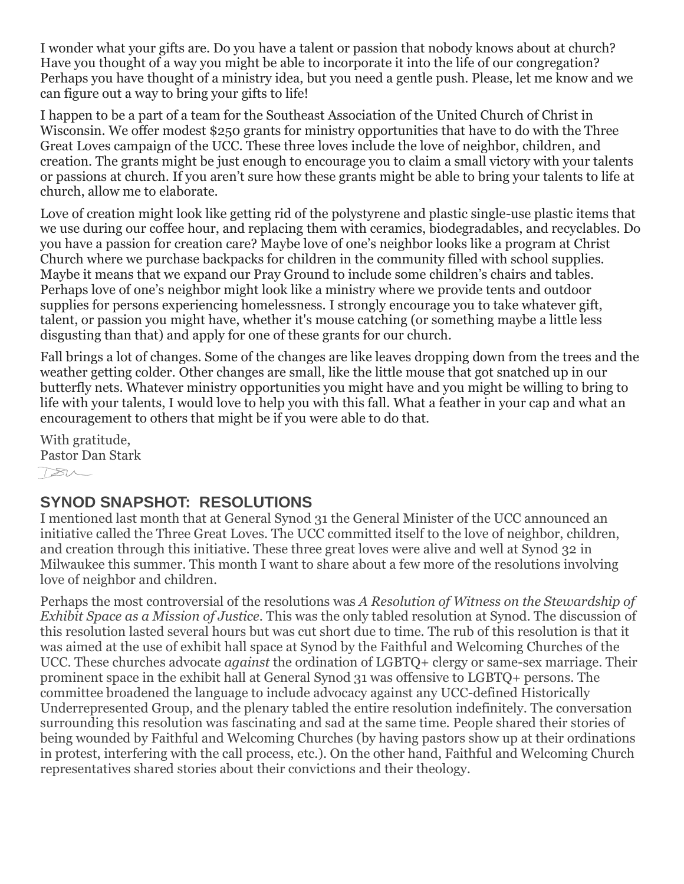I wonder what your gifts are. Do you have a talent or passion that nobody knows about at church? Have you thought of a way you might be able to incorporate it into the life of our congregation? Perhaps you have thought of a ministry idea, but you need a gentle push. Please, let me know and we can figure out a way to bring your gifts to life!

I happen to be a part of a team for the Southeast Association of the United Church of Christ in Wisconsin. We offer modest \$250 grants for ministry opportunities that have to do with the Three Great Loves campaign of the UCC. These three loves include the love of neighbor, children, and creation. The grants might be just enough to encourage you to claim a small victory with your talents or passions at church. If you aren't sure how these grants might be able to bring your talents to life at church, allow me to elaborate.

Love of creation might look like getting rid of the polystyrene and plastic single-use plastic items that we use during our coffee hour, and replacing them with ceramics, biodegradables, and recyclables. Do you have a passion for creation care? Maybe love of one's neighbor looks like a program at Christ Church where we purchase backpacks for children in the community filled with school supplies. Maybe it means that we expand our Pray Ground to include some children's chairs and tables. Perhaps love of one's neighbor might look like a ministry where we provide tents and outdoor supplies for persons experiencing homelessness. I strongly encourage you to take whatever gift, talent, or passion you might have, whether it's mouse catching (or something maybe a little less disgusting than that) and apply for one of these grants for our church.

Fall brings a lot of changes. Some of the changes are like leaves dropping down from the trees and the weather getting colder. Other changes are small, like the little mouse that got snatched up in our butterfly nets. Whatever ministry opportunities you might have and you might be willing to bring to life with your talents, I would love to help you with this fall. What a feather in your cap and what an encouragement to others that might be if you were able to do that.

With gratitude, Pastor Dan Stark  $780-$ 

#### **SYNOD SNAPSHOT: RESOLUTIONS**

I mentioned last month that at General Synod 31 the General Minister of the UCC announced an initiative called the Three Great Loves. The UCC committed itself to the love of neighbor, children, and creation through this initiative. These three great loves were alive and well at Synod 32 in Milwaukee this summer. This month I want to share about a few more of the resolutions involving love of neighbor and children.

Perhaps the most controversial of the resolutions was *A Resolution of Witness on the Stewardship of Exhibit Space as a Mission of Justice*. This was the only tabled resolution at Synod. The discussion of this resolution lasted several hours but was cut short due to time. The rub of this resolution is that it was aimed at the use of exhibit hall space at Synod by the Faithful and Welcoming Churches of the UCC. These churches advocate *against* the ordination of LGBTQ+ clergy or same-sex marriage. Their prominent space in the exhibit hall at General Synod 31 was offensive to LGBTQ+ persons. The committee broadened the language to include advocacy against any UCC-defined Historically Underrepresented Group, and the plenary tabled the entire resolution indefinitely. The conversation surrounding this resolution was fascinating and sad at the same time. People shared their stories of being wounded by Faithful and Welcoming Churches (by having pastors show up at their ordinations in protest, interfering with the call process, etc.). On the other hand, Faithful and Welcoming Church representatives shared stories about their convictions and their theology.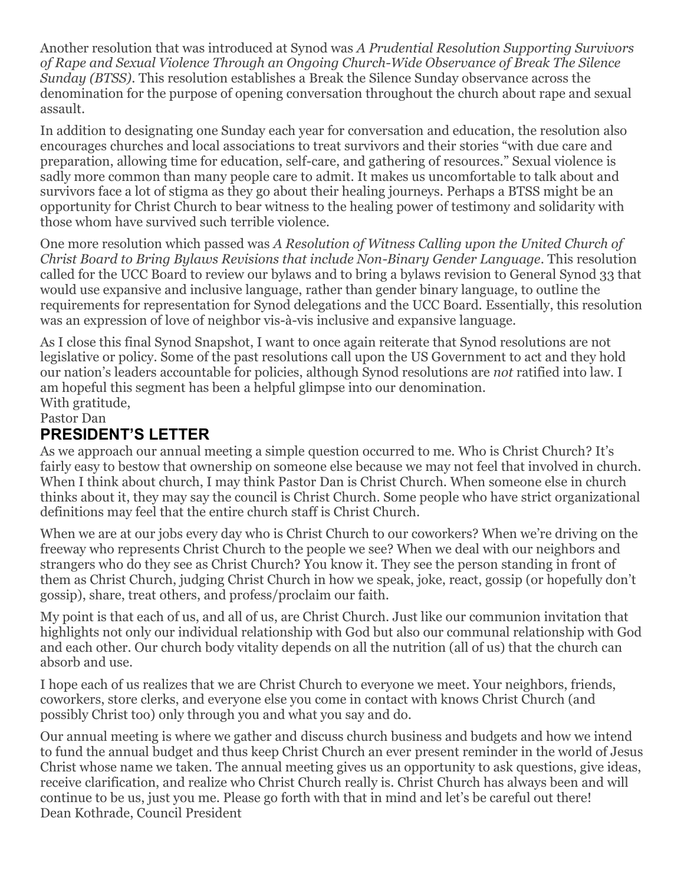Another resolution that was introduced at Synod was *A Prudential Resolution Supporting Survivors of Rape and Sexual Violence Through an Ongoing Church-Wide Observance of Break The Silence Sunday (BTSS)*. This resolution establishes a Break the Silence Sunday observance across the denomination for the purpose of opening conversation throughout the church about rape and sexual assault.

In addition to designating one Sunday each year for conversation and education, the resolution also encourages churches and local associations to treat survivors and their stories "with due care and preparation, allowing time for education, self-care, and gathering of resources." Sexual violence is sadly more common than many people care to admit. It makes us uncomfortable to talk about and survivors face a lot of stigma as they go about their healing journeys. Perhaps a BTSS might be an opportunity for Christ Church to bear witness to the healing power of testimony and solidarity with those whom have survived such terrible violence.

One more resolution which passed was *A Resolution of Witness Calling upon the United Church of Christ Board to Bring Bylaws Revisions that include Non-Binary Gender Language*. This resolution called for the UCC Board to review our bylaws and to bring a bylaws revision to General Synod 33 that would use expansive and inclusive language, rather than gender binary language, to outline the requirements for representation for Synod delegations and the UCC Board. Essentially, this resolution was an expression of love of neighbor vis-à-vis inclusive and expansive language.

As I close this final Synod Snapshot, I want to once again reiterate that Synod resolutions are not legislative or policy. Some of the past resolutions call upon the US Government to act and they hold our nation's leaders accountable for policies, although Synod resolutions are *not* ratified into law. I am hopeful this segment has been a helpful glimpse into our denomination. With gratitude,

Pastor Dan

## **PRESIDENT'S LETTER**

As we approach our annual meeting a simple question occurred to me. Who is Christ Church? It's fairly easy to bestow that ownership on someone else because we may not feel that involved in church. When I think about church, I may think Pastor Dan is Christ Church. When someone else in church thinks about it, they may say the council is Christ Church. Some people who have strict organizational definitions may feel that the entire church staff is Christ Church.

When we are at our jobs every day who is Christ Church to our coworkers? When we're driving on the freeway who represents Christ Church to the people we see? When we deal with our neighbors and strangers who do they see as Christ Church? You know it. They see the person standing in front of them as Christ Church, judging Christ Church in how we speak, joke, react, gossip (or hopefully don't gossip), share, treat others, and profess/proclaim our faith.

My point is that each of us, and all of us, are Christ Church. Just like our communion invitation that highlights not only our individual relationship with God but also our communal relationship with God and each other. Our church body vitality depends on all the nutrition (all of us) that the church can absorb and use.

I hope each of us realizes that we are Christ Church to everyone we meet. Your neighbors, friends, coworkers, store clerks, and everyone else you come in contact with knows Christ Church (and possibly Christ too) only through you and what you say and do.

Our annual meeting is where we gather and discuss church business and budgets and how we intend to fund the annual budget and thus keep Christ Church an ever present reminder in the world of Jesus Christ whose name we taken. The annual meeting gives us an opportunity to ask questions, give ideas, receive clarification, and realize who Christ Church really is. Christ Church has always been and will continue to be us, just you me. Please go forth with that in mind and let's be careful out there! Dean Kothrade, Council President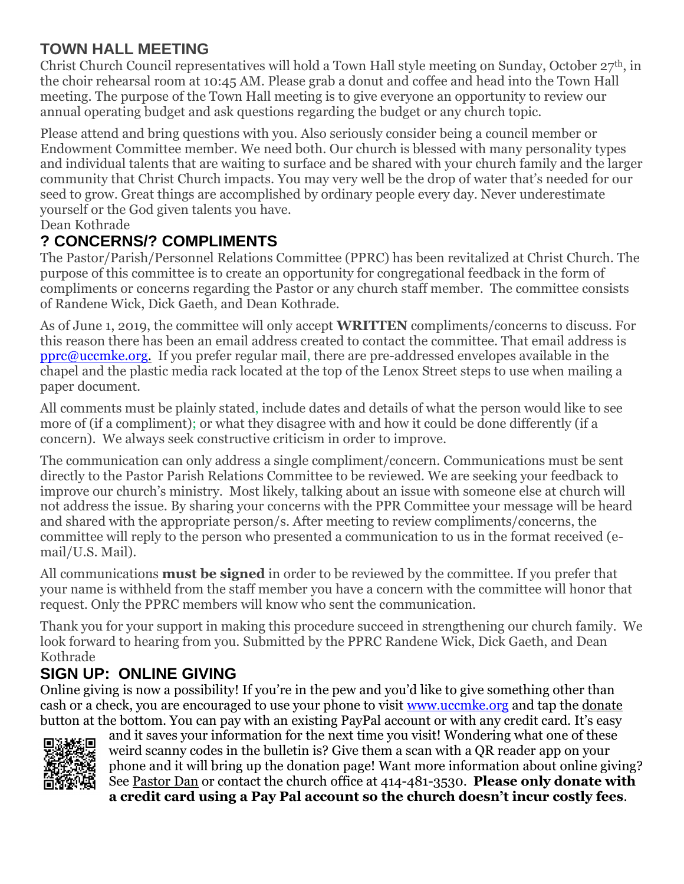## **TOWN HALL MEETING**

Christ Church Council representatives will hold a Town Hall style meeting on Sunday, October 27th, in the choir rehearsal room at 10:45 AM. Please grab a donut and coffee and head into the Town Hall meeting. The purpose of the Town Hall meeting is to give everyone an opportunity to review our annual operating budget and ask questions regarding the budget or any church topic.

Please attend and bring questions with you. Also seriously consider being a council member or Endowment Committee member. We need both. Our church is blessed with many personality types and individual talents that are waiting to surface and be shared with your church family and the larger community that Christ Church impacts. You may very well be the drop of water that's needed for our seed to grow. Great things are accomplished by ordinary people every day. Never underestimate yourself or the God given talents you have.

Dean Kothrade

#### **? CONCERNS/? COMPLIMENTS**

The Pastor/Parish/Personnel Relations Committee (PPRC) has been revitalized at Christ Church. The purpose of this committee is to create an opportunity for congregational feedback in the form of compliments or concerns regarding the Pastor or any church staff member. The committee consists of Randene Wick, Dick Gaeth, and Dean Kothrade.

As of June 1, 2019, the committee will only accept **WRITTEN** compliments/concerns to discuss. For this reason there has been an email address created to contact the committee. That email address is [pprc@uccmke.org.](mailto:pprc@uccmke.org) If you prefer regular mail, there are pre-addressed envelopes available in the chapel and the plastic media rack located at the top of the Lenox Street steps to use when mailing a paper document.

All comments must be plainly stated, include dates and details of what the person would like to see more of (if a compliment); or what they disagree with and how it could be done differently (if a concern). We always seek constructive criticism in order to improve.

The communication can only address a single compliment/concern. Communications must be sent directly to the Pastor Parish Relations Committee to be reviewed. We are seeking your feedback to improve our church's ministry. Most likely, talking about an issue with someone else at church will not address the issue. By sharing your concerns with the PPR Committee your message will be heard and shared with the appropriate person/s. After meeting to review compliments/concerns, the committee will reply to the person who presented a communication to us in the format received (email/U.S. Mail).

All communications **must be signed** in order to be reviewed by the committee. If you prefer that your name is withheld from the staff member you have a concern with the committee will honor that request. Only the PPRC members will know who sent the communication.

Thank you for your support in making this procedure succeed in strengthening our church family. We look forward to hearing from you. Submitted by the PPRC Randene Wick, Dick Gaeth, and Dean Kothrade

### **SIGN UP: ONLINE GIVING**

Online giving is now a possibility! If you're in the pew and you'd like to give something other than cash or a check, you are encouraged to use your phone to visit [www.uccmke.org](http://www.uccmke.org/) and tap the [donate](https://www.paypal.com/cgi-bin/webscr?cmd=_s-xclick&hosted_button_id=D7W2VTZZBHZNU) button at the bottom. You can pay with an existing PayPal account or with any credit card. It's easy



and it saves your information for the next time you visit! Wondering what one of these weird scanny codes in the bulletin is? Give them a scan with a QR reader app on your phone and it will bring up the donation page! Want more information about online giving? See [Pastor Dan](mailto:dan_stark@att.net) or contact the church office at 414-481-3530. **Please only donate with a credit card using a Pay Pal account so the church doesn't incur costly fees**.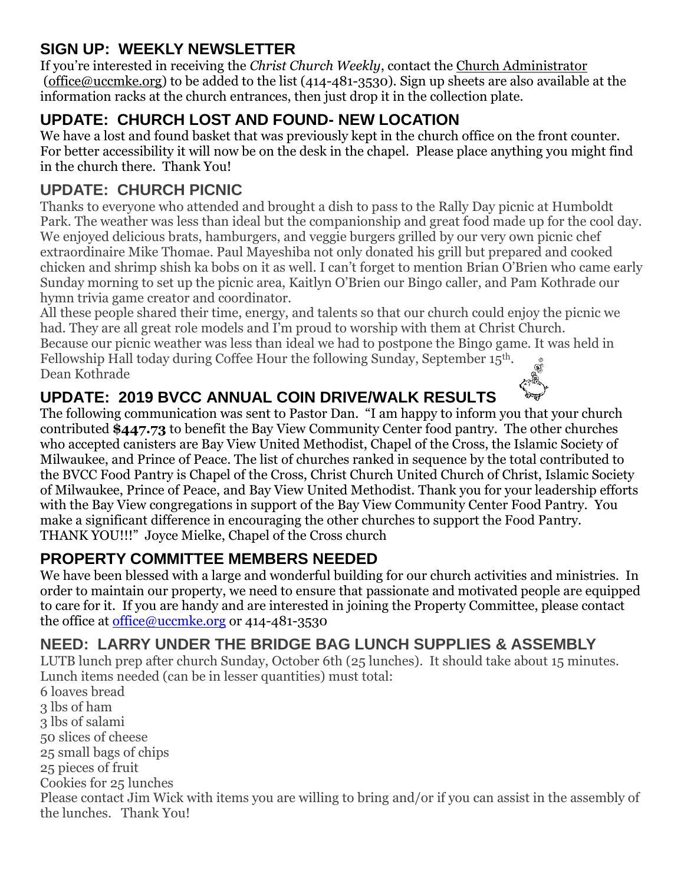## **SIGN UP: WEEKLY NEWSLETTER**

If you're interested in receiving the *Christ Church Weekly*, contact the [Church Administrator](mailto:christ-church@att.net) (office@uccmke.org) to be added to the list (414-481-3530). Sign up sheets are also available at the information racks at the church entrances, then just drop it in the collection plate.

# **UPDATE: CHURCH LOST AND FOUND- NEW LOCATION**

We have a lost and found basket that was previously kept in the church office on the front counter. For better accessibility it will now be on the desk in the chapel. Please place anything you might find in the church there. Thank You!

## **UPDATE: CHURCH PICNIC**

Thanks to everyone who attended and brought a dish to pass to the Rally Day picnic at Humboldt Park. The weather was less than ideal but the companionship and great food made up for the cool day. We enjoyed delicious brats, hamburgers, and veggie burgers grilled by our very own picnic chef extraordinaire Mike Thomae. Paul Mayeshiba not only donated his grill but prepared and cooked chicken and shrimp shish ka bobs on it as well. I can't forget to mention Brian O'Brien who came early Sunday morning to set up the picnic area, Kaitlyn O'Brien our Bingo caller, and Pam Kothrade our hymn trivia game creator and coordinator.

All these people shared their time, energy, and talents so that our church could enjoy the picnic we had. They are all great role models and I'm proud to worship with them at Christ Church. Because our picnic weather was less than ideal we had to postpone the Bingo game. It was held in Fellowship Hall today during Coffee Hour the following Sunday, September 15th. Dean Kothrade

## **UPDATE: 2019 BVCC ANNUAL COIN DRIVE/WALK RESULTS**

The following communication was sent to Pastor Dan. "I am happy to inform you that your church contributed **\$447.73** to benefit the Bay View Community Center food pantry. The other churches who accepted canisters are Bay View United Methodist, Chapel of the Cross, the Islamic Society of Milwaukee, and Prince of Peace. The list of churches ranked in sequence by the total contributed to the BVCC Food Pantry is Chapel of the Cross, Christ Church United Church of Christ, Islamic Society of Milwaukee, Prince of Peace, and Bay View United Methodist. Thank you for your leadership efforts with the Bay View congregations in support of the Bay View Community Center Food Pantry. You make a significant difference in encouraging the other churches to support the Food Pantry. THANK YOU!!!" Joyce Mielke, Chapel of the Cross church

## **PROPERTY COMMITTEE MEMBERS NEEDED**

We have been blessed with a large and wonderful building for our church activities and ministries. In order to maintain our property, we need to ensure that passionate and motivated people are equipped to care for it. If you are handy and are interested in joining the Property Committee, please contact the office at [office@uccmke.org](mailto:office@uccmke.org) or 414-481-3530

## **NEED: LARRY UNDER THE BRIDGE BAG LUNCH SUPPLIES & ASSEMBLY**

LUTB lunch prep after church Sunday, October 6th (25 lunches). It should take about 15 minutes. Lunch items needed (can be in lesser quantities) must total:

6 loaves bread 3 lbs of ham 3 lbs of salami 50 slices of cheese 25 small bags of chips 25 pieces of fruit Cookies for 25 lunches Please contact Jim Wick with items you are willing to bring and/or if you can assist in the assembly of the lunches. Thank You!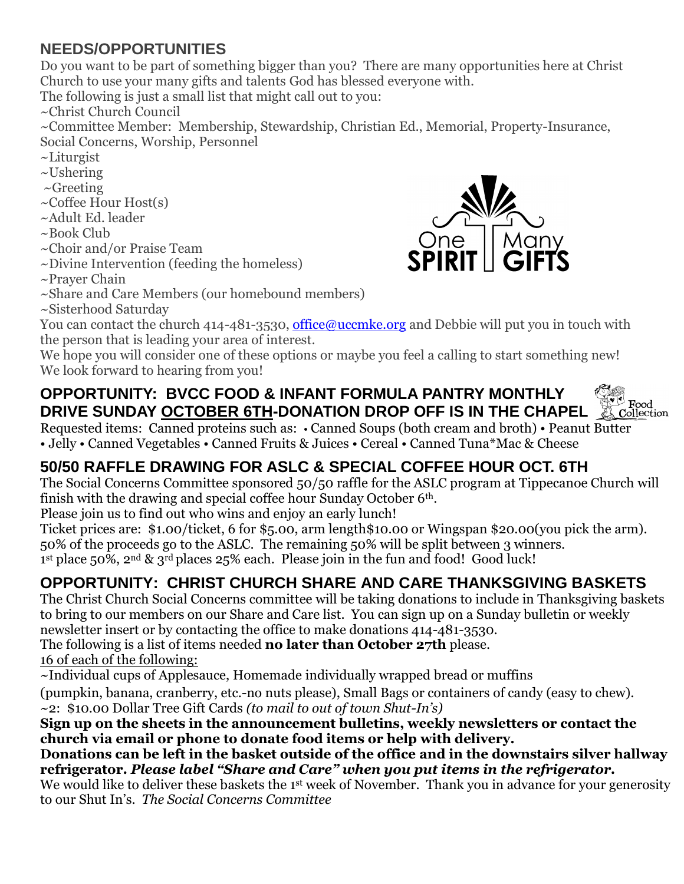## **NEEDS/OPPORTUNITIES**

Do you want to be part of something bigger than you? There are many opportunities here at Christ Church to use your many gifts and talents God has blessed everyone with.

The following is just a small list that might call out to you:

~Christ Church Council

~Committee Member: Membership, Stewardship, Christian Ed., Memorial, Property-Insurance, Social Concerns, Worship, Personnel

- ~Liturgist
- ~Ushering
- $\sim$ Greeting

~Coffee Hour Host(s)

- ~Adult Ed. leader
- ~Book Club
- ~Choir and/or Praise Team
- ~Divine Intervention (feeding the homeless)
- ~Prayer Chain



~Sisterhood Saturday

You can contact the church 414-481-3530, [office@uccmke.org](mailto:office@uccmke.org) and Debbie will put you in touch with the person that is leading your area of interest.

One

We hope you will consider one of these options or maybe you feel a calling to start something new! We look forward to hearing from you!

#### **OPPORTUNITY: BVCC FOOD & INFANT FORMULA PANTRY MONTHLY DRIVE SUNDAY OCTOBER 6TH-DONATION DROP OFF IS IN THE CHAPEL**



Requested items: Canned proteins such as: • Canned Soups (both cream and broth) • Peanut Butter • Jelly • Canned Vegetables • Canned Fruits & Juices • Cereal • Canned Tuna\*Mac & Cheese

# **50/50 RAFFLE DRAWING FOR ASLC & SPECIAL COFFEE HOUR OCT. 6TH**

The Social Concerns Committee sponsored 50/50 raffle for the ASLC program at Tippecanoe Church will finish with the drawing and special coffee hour Sunday October 6th.

Please join us to find out who wins and enjoy an early lunch!

Ticket prices are: \$1.00/ticket, 6 for \$5.00, arm length\$10.00 or Wingspan \$20.00(you pick the arm). 50% of the proceeds go to the ASLC. The remaining 50% will be split between 3 winners. 1<sup>st</sup> place 50%, 2<sup>nd</sup> & 3<sup>rd</sup> places 25% each. Please join in the fun and food! Good luck!

# **OPPORTUNITY: CHRIST CHURCH SHARE AND CARE THANKSGIVING BASKETS**

The Christ Church Social Concerns committee will be taking donations to include in Thanksgiving baskets to bring to our members on our Share and Care list. You can sign up on a Sunday bulletin or weekly newsletter insert or by contacting the office to make donations 414-481-3530.

The following is a list of items needed **no later than October 27th** please.

16 of each of the following:

~Individual cups of Applesauce, Homemade individually wrapped bread or muffins

(pumpkin, banana, cranberry, etc.-no nuts please), Small Bags or containers of candy (easy to chew). ~2: \$10.00 Dollar Tree Gift Cards *(to mail to out of town Shut-In's)*

**Sign up on the sheets in the announcement bulletins, weekly newsletters or contact the church via email or phone to donate food items or help with delivery.**

**Donations can be left in the basket outside of the office and in the downstairs silver hallway refrigerator.** *Please label "Share and Care" when you put items in the refrigerator.*

We would like to deliver these baskets the 1<sup>st</sup> week of November. Thank you in advance for your generosity to our Shut In's. *The Social Concerns Committee*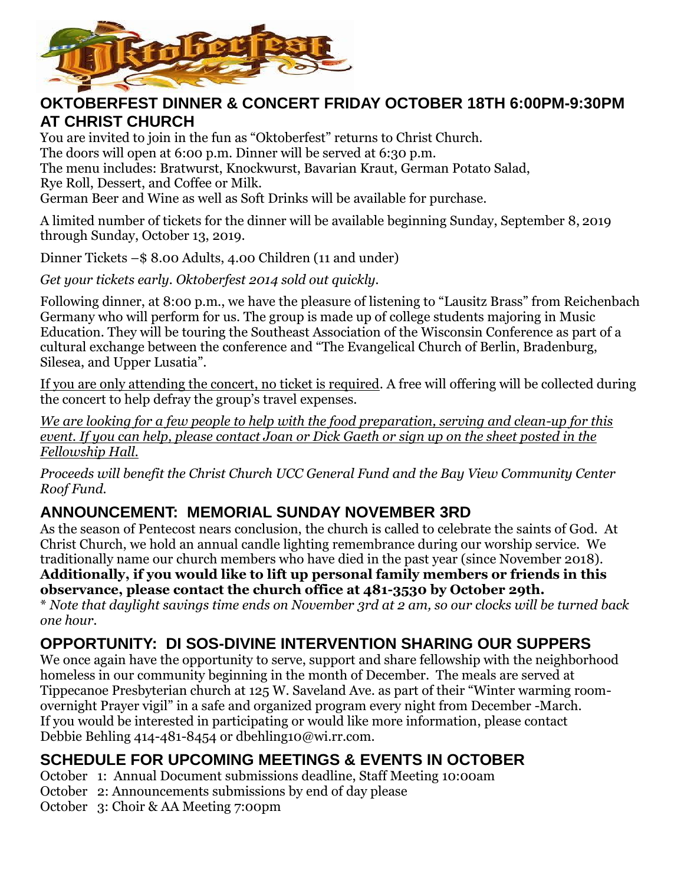

#### **OKTOBERFEST DINNER & CONCERT FRIDAY OCTOBER 18TH 6:00PM-9:30PM AT CHRIST CHURCH**

You are invited to join in the fun as "Oktoberfest" returns to Christ Church.

The doors will open at 6:00 p.m. Dinner will be served at 6:30 p.m.

The menu includes: Bratwurst, Knockwurst, Bavarian Kraut, German Potato Salad,

Rye Roll, Dessert, and Coffee or Milk.

German Beer and Wine as well as Soft Drinks will be available for purchase.

A limited number of tickets for the dinner will be available beginning Sunday, September 8, 2019 through Sunday, October 13, 2019.

Dinner Tickets –\$ 8.00 Adults, 4.00 Children (11 and under)

*Get your tickets early. Oktoberfest 2014 sold out quickly.* 

Following dinner, at 8:00 p.m., we have the pleasure of listening to "Lausitz Brass" from Reichenbach Germany who will perform for us. The group is made up of college students majoring in Music Education. They will be touring the Southeast Association of the Wisconsin Conference as part of a cultural exchange between the conference and "The Evangelical Church of Berlin, Bradenburg, Silesea, and Upper Lusatia".

If you are only attending the concert, no ticket is required. A free will offering will be collected during the concert to help defray the group's travel expenses.

*We are looking for a few people to help with the food preparation, serving and clean-up for this event. If you can help, please contact Joan or Dick Gaeth or sign up on the sheet posted in the Fellowship Hall.*

*Proceeds will benefit the Christ Church UCC General Fund and the Bay View Community Center Roof Fund.*

### **ANNOUNCEMENT: MEMORIAL SUNDAY NOVEMBER 3RD**

As the season of Pentecost nears conclusion, the church is called to celebrate the saints of God. At Christ Church, we hold an annual candle lighting remembrance during our worship service. We traditionally name our church members who have died in the past year (since November 2018). **Additionally, if you would like to lift up personal family members or friends in this observance, please contact the church office at 481-3530 by October 29th.** \* *Note that daylight savings time ends on November 3rd at 2 am, so our clocks will be turned back* 

*one hour.*

### **OPPORTUNITY: DI SOS-DIVINE INTERVENTION SHARING OUR SUPPERS**

We once again have the opportunity to serve, support and share fellowship with the neighborhood homeless in our community beginning in the month of December. The meals are served at Tippecanoe Presbyterian church at 125 W. Saveland Ave. as part of their "Winter warming roomovernight Prayer vigil" in a safe and organized program every night from December -March. If you would be interested in participating or would like more information, please contact Debbie Behling 414-481-8454 or dbehling10@wi.rr.com.

### **SCHEDULE FOR UPCOMING MEETINGS & EVENTS IN OCTOBER**

- October 1: Annual Document submissions deadline, Staff Meeting 10:00am
- October 2: Announcements submissions by end of day please
- October 3: Choir & AA Meeting 7:00pm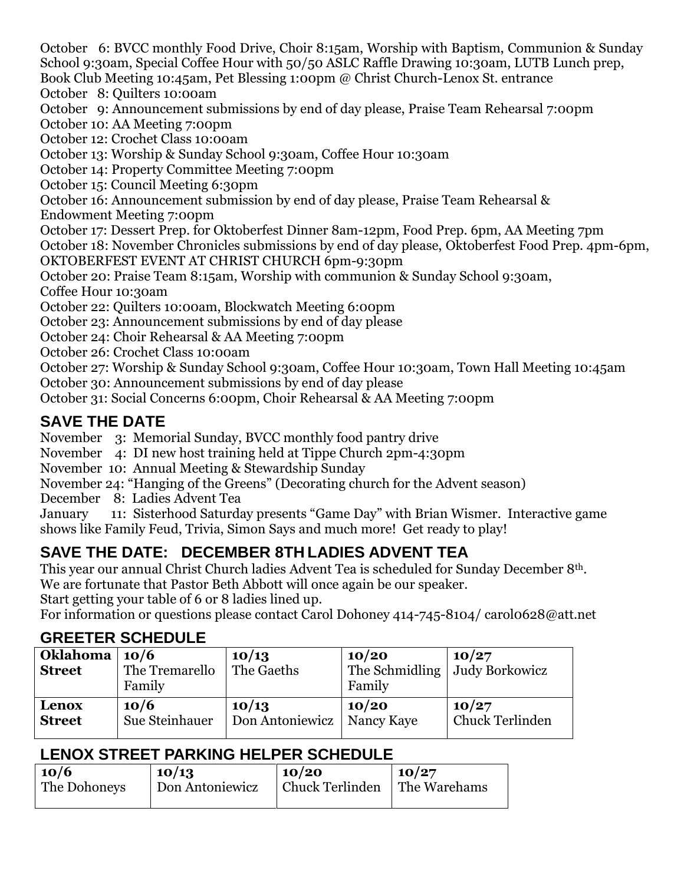October 6: BVCC monthly Food Drive, Choir 8:15am, Worship with Baptism, Communion & Sunday School 9:30am, Special Coffee Hour with 50/50 ASLC Raffle Drawing 10:30am, LUTB Lunch prep, Book Club Meeting 10:45am, Pet Blessing 1:00pm @ Christ Church-Lenox St. entrance

October 8: Quilters 10:00am

October 9: Announcement submissions by end of day please, Praise Team Rehearsal 7:00pm

October 10: AA Meeting 7:00pm

October 12: Crochet Class 10:00am

October 13: Worship & Sunday School 9:30am, Coffee Hour 10:30am

October 14: Property Committee Meeting 7:00pm

October 15: Council Meeting 6:30pm

October 16: Announcement submission by end of day please, Praise Team Rehearsal &

Endowment Meeting 7:00pm

October 17: Dessert Prep. for Oktoberfest Dinner 8am-12pm, Food Prep. 6pm, AA Meeting 7pm

October 18: November Chronicles submissions by end of day please, Oktoberfest Food Prep. 4pm-6pm, OKTOBERFEST EVENT AT CHRIST CHURCH 6pm-9:30pm

October 20: Praise Team 8:15am, Worship with communion & Sunday School 9:30am,

Coffee Hour 10:30am

October 22: Quilters 10:00am, Blockwatch Meeting 6:00pm

October 23: Announcement submissions by end of day please

October 24: Choir Rehearsal & AA Meeting 7:00pm

October 26: Crochet Class 10:00am

October 27: Worship & Sunday School 9:30am, Coffee Hour 10:30am, Town Hall Meeting 10:45am October 30: Announcement submissions by end of day please

October 31: Social Concerns 6:00pm, Choir Rehearsal & AA Meeting 7:00pm

### **SAVE THE DATE**

November 3: Memorial Sunday, BVCC monthly food pantry drive

November 4: DI new host training held at Tippe Church 2pm-4:30pm

November 10: Annual Meeting & Stewardship Sunday

November 24: "Hanging of the Greens" (Decorating church for the Advent season)

December 8: Ladies Advent Tea

January 11: Sisterhood Saturday presents "Game Day" with Brian Wismer. Interactive game shows like Family Feud, Trivia, Simon Says and much more! Get ready to play!

# **SAVE THE DATE: DECEMBER 8TH LADIES ADVENT TEA**

This year our annual Christ Church ladies Advent Tea is scheduled for Sunday December 8th. We are fortunate that Pastor Beth Abbott will once again be our speaker.

Start getting your table of 6 or 8 ladies lined up.

For information or questions please contact Carol Dohoney 414-745-8104/ carol0628@att.net

#### **GREETER SCHEDULE**

| Oklahoma   10/6<br><b>Street</b> | The Tremarello<br>Family | 10/13<br>The Gaeths | 10/20<br>The Schmidling   Judy Borkowicz<br>Family | 10/27           |
|----------------------------------|--------------------------|---------------------|----------------------------------------------------|-----------------|
| Lenox                            | 10/6                     | 10/13               | 10/20                                              | 10/27           |
| <b>Street</b>                    | Sue Steinhauer           | Don Antoniewicz     | Nancy Kaye                                         | Chuck Terlinden |

#### **LENOX STREET PARKING HELPER SCHEDULE**

| 10/6         | 10/13           | 10/20                          | $\mid$ 10/27 |
|--------------|-----------------|--------------------------------|--------------|
| The Dohoneys | Don Antoniewicz | Chuck Terlinden   The Warehams |              |
|              |                 |                                |              |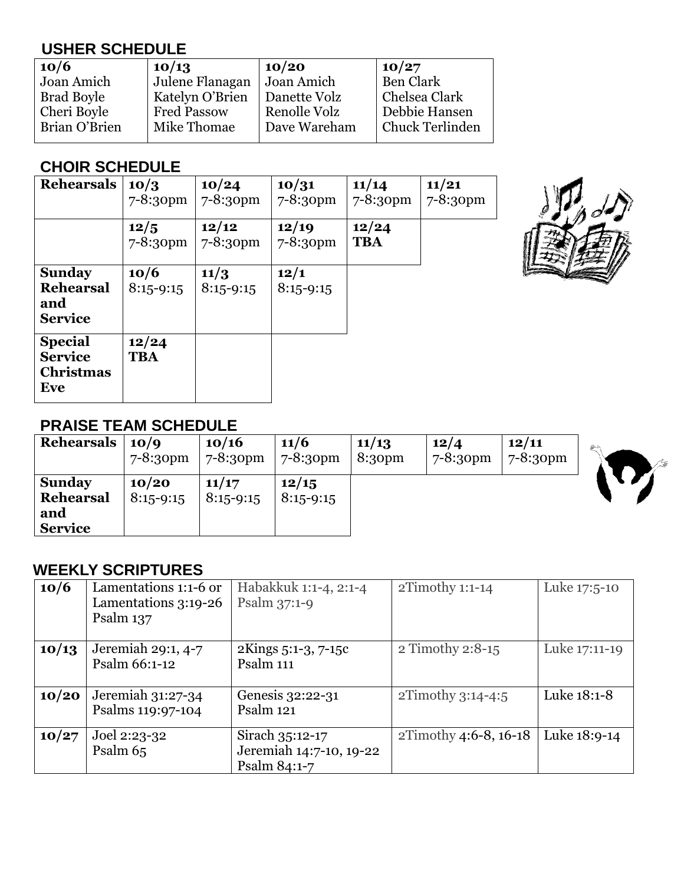# **USHER SCHEDULE**

| 10/6              | 10/13              | 10/20        | 10/27            |
|-------------------|--------------------|--------------|------------------|
| Joan Amich        | Julene Flanagan    | Joan Amich   | <b>Ben Clark</b> |
| <b>Brad Boyle</b> | Katelyn O'Brien    | Danette Volz | Chelsea Clark    |
| Cheri Boyle       | <b>Fred Passow</b> | Renolle Volz | Debbie Hansen    |
| Brian O'Brien     | Mike Thomae        | Dave Wareham | Chuck Terlinden  |
|                   |                    |              |                  |

## **CHOIR SCHEDULE**

| <b>Rehearsals</b>                                           | 10/3<br>$7 - 8:30$ pm | 10/24<br>7-8:30pm   | 10/31<br>7-8:30pm   | 11/14<br>$7 - 8:30$ pm | 11/21<br>7-8:30pm |
|-------------------------------------------------------------|-----------------------|---------------------|---------------------|------------------------|-------------------|
|                                                             | 12/5<br>$7 - 8:30$ pm | 12/12<br>7-8:30pm   | 12/19<br>7-8:30pm   | 12/24<br><b>TBA</b>    |                   |
| <b>Sunday</b><br><b>Rehearsal</b><br>and<br><b>Service</b>  | 10/6<br>$8:15 - 9:15$ | 11/3<br>$8:15-9:15$ | 12/1<br>$8:15-9:15$ |                        |                   |
| <b>Special</b><br><b>Service</b><br><b>Christmas</b><br>Eve | 12/24<br><b>TBA</b>   |                     |                     |                        |                   |



#### **PRAISE TEAM SCHEDULE**

| Rehearsals                                          | 10/9                 | 10/16                | 11/6                 | 11/13              | 12/4         | 12/11                | 心容  |
|-----------------------------------------------------|----------------------|----------------------|----------------------|--------------------|--------------|----------------------|-----|
|                                                     | $7 - 8:30 \text{pm}$ | $7 - 8:30 \text{pm}$ | $7 - 8:30 \text{pm}$ | 8:30 <sub>pm</sub> | $7 - 8:30pm$ | $7 - 8:30 \text{pm}$ | / s |
| <b>Sunday</b><br>Rehearsal<br>and<br><b>Service</b> | 10/20<br>$8:15-9:15$ | 11/17<br>$8:15-9:15$ | 12/15<br>$8:15-9:15$ |                    |              |                      |     |

## **WEEKLY SCRIPTURES**

| 10/6  | Lamentations 1:1-6 or<br>Lamentations 3:19-26<br>Psalm 137 | Habakkuk 1:1-4, 2:1-4<br>Psalm $37:1-9$                    | $2Timothy 1:1-14$     | Luke 17:5-10  |
|-------|------------------------------------------------------------|------------------------------------------------------------|-----------------------|---------------|
| 10/13 | Jeremiah 29:1, 4-7<br>Psalm 66:1-12                        | 2Kings 5:1-3, 7-15c<br>Psalm 111                           | 2 Timothy 2:8-15      | Luke 17:11-19 |
| 10/20 | $Jeremiah 31:27-34$<br>Psalms 119:97-104                   | Genesis 32:22-31<br>Psalm 121                              | $2Timothy$ 3:14-4:5   | Luke 18:1-8   |
| 10/27 | Joel 2:23-32<br>Psalm 65                                   | Sirach 35:12-17<br>Jeremiah 14:7-10, 19-22<br>Psalm 84:1-7 | 2Timothy 4:6-8, 16-18 | Luke 18:9-14  |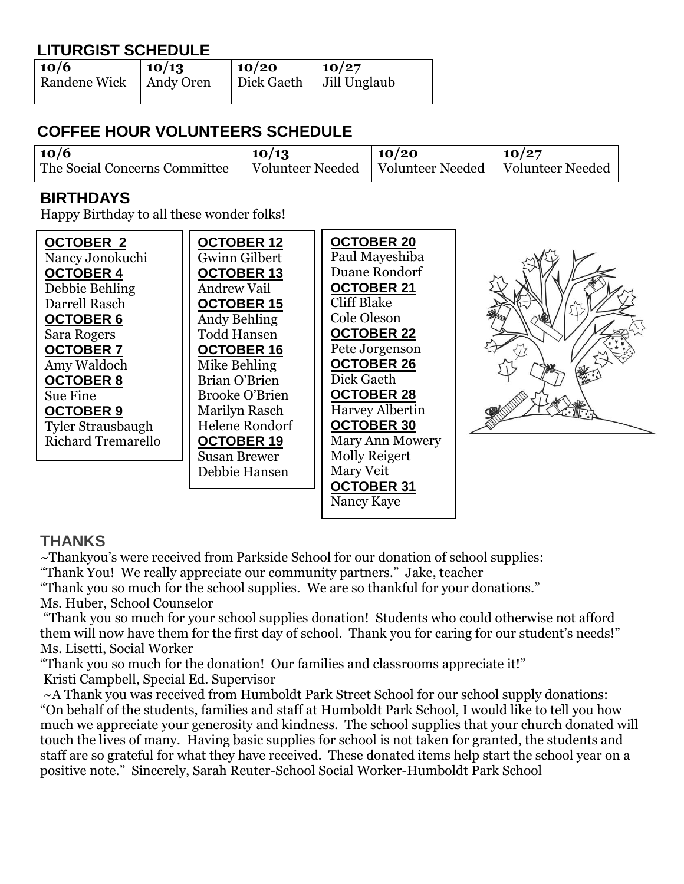## **LITURGIST SCHEDULE**

| 10/6         | 10/13     | $\mid$ 10/20                            | $\mid$ 10/27 |
|--------------|-----------|-----------------------------------------|--------------|
| Randene Wick | Andy Oren | $\vert$ Dick Gaeth $\vert$ Jill Unglaub |              |
|              |           |                                         |              |

# **COFFEE HOUR VOLUNTEERS SCHEDULE**

| 10/6                          | 10/13 | 10/20                                                  | 10/27 |
|-------------------------------|-------|--------------------------------------------------------|-------|
| The Social Concerns Committee |       | Volunteer Needed   Volunteer Needed   Volunteer Needed |       |

#### **BIRTHDAYS**

Happy Birthday to all these wonder folks!

| <b>OCTOBER 2</b>          | <b>OCTOBER 12</b>     | <b>OCTOBER 20</b>      |  |
|---------------------------|-----------------------|------------------------|--|
| Nancy Jonokuchi           | <b>Gwinn Gilbert</b>  | Paul Mayeshiba         |  |
| <b>OCTOBER 4</b>          | <b>OCTOBER 13</b>     | Duane Rondorf          |  |
| Debbie Behling            | <b>Andrew Vail</b>    | <b>OCTOBER 21</b>      |  |
| Darrell Rasch             | <b>OCTOBER 15</b>     | <b>Cliff Blake</b>     |  |
| <b>OCTOBER 6</b>          | <b>Andy Behling</b>   | Cole Oleson            |  |
| Sara Rogers               | <b>Todd Hansen</b>    | <b>OCTOBER 22</b>      |  |
| <b>OCTOBER 7</b>          | <b>OCTOBER 16</b>     | Pete Jorgenson         |  |
| Amy Waldoch               | Mike Behling          | <b>OCTOBER 26</b>      |  |
| <b>OCTOBER 8</b>          | Brian O'Brien         | Dick Gaeth             |  |
| Sue Fine                  | <b>Brooke O'Brien</b> | <b>OCTOBER 28</b>      |  |
| <b>OCTOBER 9</b>          | Marilyn Rasch         | Harvey Albertin        |  |
| <b>Tyler Strausbaugh</b>  | <b>Helene Rondorf</b> | <b>OCTOBER 30</b>      |  |
| <b>Richard Tremarello</b> | <b>OCTOBER 19</b>     | <b>Mary Ann Mowery</b> |  |
|                           | <b>Susan Brewer</b>   | <b>Molly Reigert</b>   |  |
|                           | Debbie Hansen         | Mary Veit              |  |
|                           |                       | <b>OCTOBER 31</b>      |  |

Nancy Kaye

#### **THANKS**

~Thankyou's were received from Parkside School for our donation of school supplies: "Thank You! We really appreciate our community partners." Jake, teacher

"Thank you so much for the school supplies. We are so thankful for your donations." Ms. Huber, School Counselor

"Thank you so much for your school supplies donation! Students who could otherwise not afford them will now have them for the first day of school. Thank you for caring for our student's needs!" Ms. Lisetti, Social Worker

"Thank you so much for the donation! Our families and classrooms appreciate it!" Kristi Campbell, Special Ed. Supervisor

~A Thank you was received from Humboldt Park Street School for our school supply donations: "On behalf of the students, families and staff at Humboldt Park School, I would like to tell you how much we appreciate your generosity and kindness. The school supplies that your church donated will touch the lives of many. Having basic supplies for school is not taken for granted, the students and staff are so grateful for what they have received. These donated items help start the school year on a positive note." Sincerely, Sarah Reuter-School Social Worker-Humboldt Park School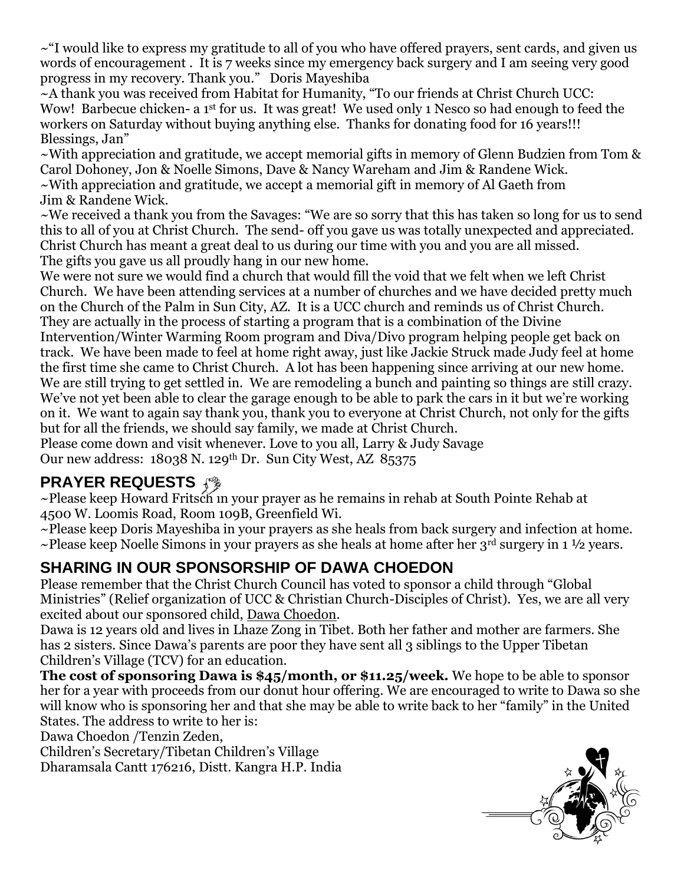$\sim$ "I would like to express my gratitude to all of you who have offered prayers, sent cards, and given us words of encouragement . It is 7 weeks since my emergency back surgery and I am seeing very good progress in my recovery. Thank you." Doris Mayeshiba

~A thank you was received from Habitat for Humanity, "To our friends at Christ Church UCC: Wow! Barbecue chicken- a 1<sup>st</sup> for us. It was great! We used only 1 Nesco so had enough to feed the workers on Saturday without buying anything else. Thanks for donating food for 16 years!!! Blessings, Jan"

 $\sim$ With appreciation and gratitude, we accept memorial gifts in memory of Glenn Budzien from Tom & Carol Dohoney, Jon & Noelle Simons, Dave & Nancy Wareham and Jim & Randene Wick. ~With appreciation and gratitude, we accept a memorial gift in memory of Al Gaeth from Jim & Randene Wick.

~We received a thank you from the Savages: "We are so sorry that this has taken so long for us to send this to all of you at Christ Church. The send- off you gave us was totally unexpected and appreciated. Christ Church has meant a great deal to us during our time with you and you are all missed. The gifts you gave us all proudly hang in our new home.

We were not sure we would find a church that would fill the void that we felt when we left Christ Church. We have been attending services at a number of churches and we have decided pretty much on the Church of the Palm in Sun City, AZ. It is a UCC church and reminds us of Christ Church. They are actually in the process of starting a program that is a combination of the Divine Intervention/Winter Warming Room program and Diva/Divo program helping people get back on track. We have been made to feel at home right away, just like Jackie Struck made Judy feel at home the first time she came to Christ Church. A lot has been happening since arriving at our new home. We are still trying to get settled in. We are remodeling a bunch and painting so things are still crazy. We've not yet been able to clear the garage enough to be able to park the cars in it but we're working on it. We want to again say thank you, thank you to everyone at Christ Church, not only for the gifts but for all the friends, we should say family, we made at Christ Church.

Please come down and visit whenever. Love to you all, Larry & Judy Savage

Our new address: 18038 N. 129th Dr. Sun City West, AZ 85375

# **PRAYER REQUESTS**

~Please keep Howard Fritsch in your prayer as he remains in rehab at South Pointe Rehab at 4500 W. Loomis Road, Room 109B, Greenfield Wi.

~Please keep Doris Mayeshiba in your prayers as she heals from back surgery and infection at home.  $\sim$ Please keep Noelle Simons in your prayers as she heals at home after her 3<sup>rd</sup> surgery in 1 ½ years.

### **SHARING IN OUR SPONSORSHIP OF DAWA CHOEDON**

Please remember that the Christ Church Council has voted to sponsor a child through "Global Ministries" (Relief organization of UCC & Christian Church-Disciples of Christ). Yes, we are all very excited about our sponsored child, Dawa Choedon.

Dawa is 12 years old and lives in Lhaze Zong in Tibet. Both her father and mother are farmers. She has 2 sisters. Since Dawa's parents are poor they have sent all 3 siblings to the Upper Tibetan Children's Village (TCV) for an education.

**The cost of sponsoring Dawa is \$45/month, or \$11.25/week.** We hope to be able to sponsor her for a year with proceeds from our donut hour offering. We are encouraged to write to Dawa so she will know who is sponsoring her and that she may be able to write back to her "family" in the United States. The address to write to her is:

Dawa Choedon /Tenzin Zeden,

Children's Secretary/Tibetan Children's Village Dharamsala Cantt 176216, Distt. Kangra H.P. India